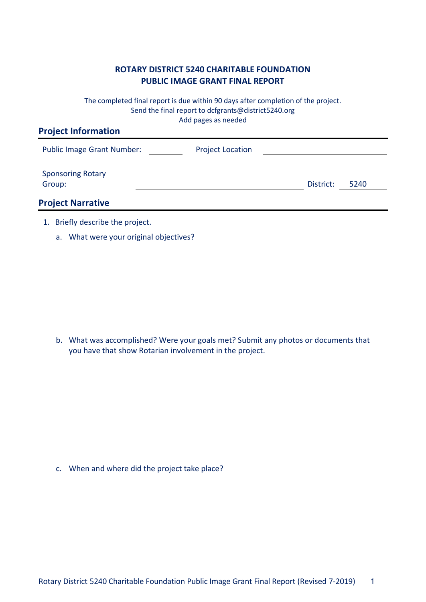## **ROTARY DISTRICT 5240 CHARITABLE FOUNDATION PUBLIC IMAGE GRANT FINAL REPORT**

The completed final report is due within 90 days after completion of the project. Send the final report to dcfgrants@district5240.org Add pages as needed

| <b>Project Information</b>         |                         |           |      |
|------------------------------------|-------------------------|-----------|------|
| <b>Public Image Grant Number:</b>  | <b>Project Location</b> |           |      |
| <b>Sponsoring Rotary</b><br>Group: |                         | District: | 5240 |
| <b>Project Narrative</b>           |                         |           |      |
|                                    |                         |           |      |

- 1. Briefly describe the project.
	- a. What were your original objectives?

b. What was accomplished? Were your goals met? Submit any photos or documents that you have that show Rotarian involvement in the project.

c. When and where did the project take place?